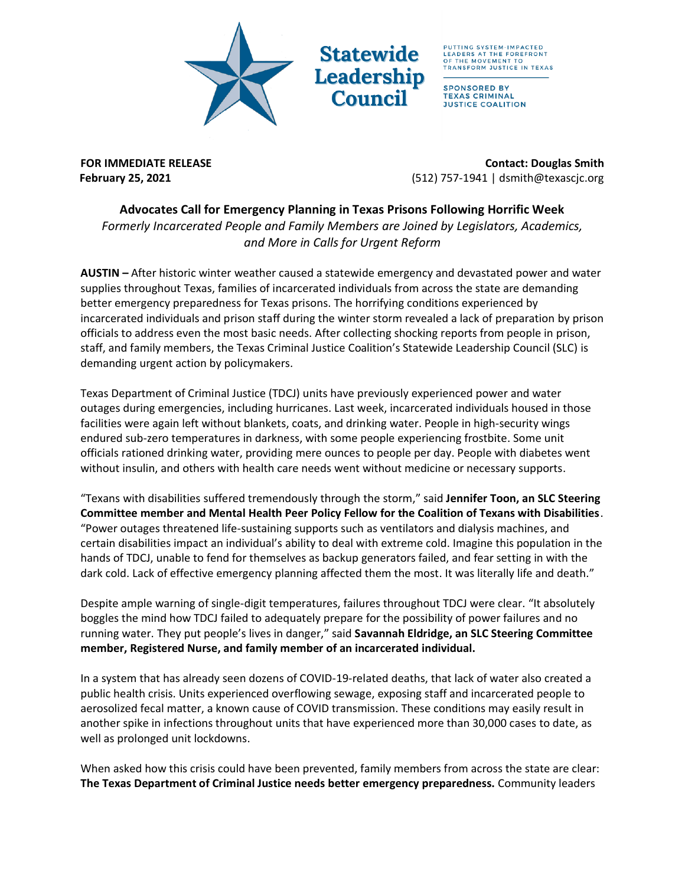

**Statewide Leadership Counci** 

PUTTING SYSTEM-IMPACTED<br>LEADERS AT THE FOREFRONT<br>OF THE MOVEMENT TO TRANSFORM JUSTICE IN TEXAS

**SPONSORED BY TEXAS CRIMINAL JUSTICE COALITION** 

**FOR IMMEDIATE RELEASE CONTACT: DOUGLAS Smith February 25, 2021** (512) 757-1941 | dsmith@texascjc.org

## **Advocates Call for Emergency Planning in Texas Prisons Following Horrific Week**

*Formerly Incarcerated People and Family Members are Joined by Legislators, Academics, and More in Calls for Urgent Reform*

**AUSTIN –** After historic winter weather caused a statewide emergency and devastated power and water supplies throughout Texas, families of incarcerated individuals from across the state are demanding better emergency preparedness for Texas prisons. The horrifying conditions experienced by incarcerated individuals and prison staff during the winter storm revealed a lack of preparation by prison officials to address even the most basic needs. After collecting shocking reports from people in prison, staff, and family members, the Texas Criminal Justice Coalition's Statewide Leadership Council (SLC) is demanding urgent action by policymakers.

Texas Department of Criminal Justice (TDCJ) units have previously experienced power and water outages during emergencies, including hurricanes. Last week, incarcerated individuals housed in those facilities were again left without blankets, coats, and drinking water. People in high-security wings endured sub-zero temperatures in darkness, with some people experiencing frostbite. Some unit officials rationed drinking water, providing mere ounces to people per day. People with diabetes went without insulin, and others with health care needs went without medicine or necessary supports.

"Texans with disabilities suffered tremendously through the storm," said **Jennifer Toon, an SLC Steering Committee member and Mental Health Peer Policy Fellow for the Coalition of Texans with Disabilities**. "Power outages threatened life-sustaining supports such as ventilators and dialysis machines, and certain disabilities impact an individual's ability to deal with extreme cold. Imagine this population in the hands of TDCJ, unable to fend for themselves as backup generators failed, and fear setting in with the dark cold. Lack of effective emergency planning affected them the most. It was literally life and death."

Despite ample warning of single-digit temperatures, failures throughout TDCJ were clear. "It absolutely boggles the mind how TDCJ failed to adequately prepare for the possibility of power failures and no running water. They put people's lives in danger," said **Savannah Eldridge, an SLC Steering Committee member, Registered Nurse, and family member of an incarcerated individual.** 

In a system that has already seen dozens of COVID-19-related deaths, that lack of water also created a public health crisis. Units experienced overflowing sewage, exposing staff and incarcerated people to aerosolized fecal matter, a known cause of COVID transmission. These conditions may easily result in another spike in infections throughout units that have experienced more than 30,000 cases to date, as well as prolonged unit lockdowns.

When asked how this crisis could have been prevented, family members from across the state are clear: **The Texas Department of Criminal Justice needs better emergency preparedness.** Community leaders